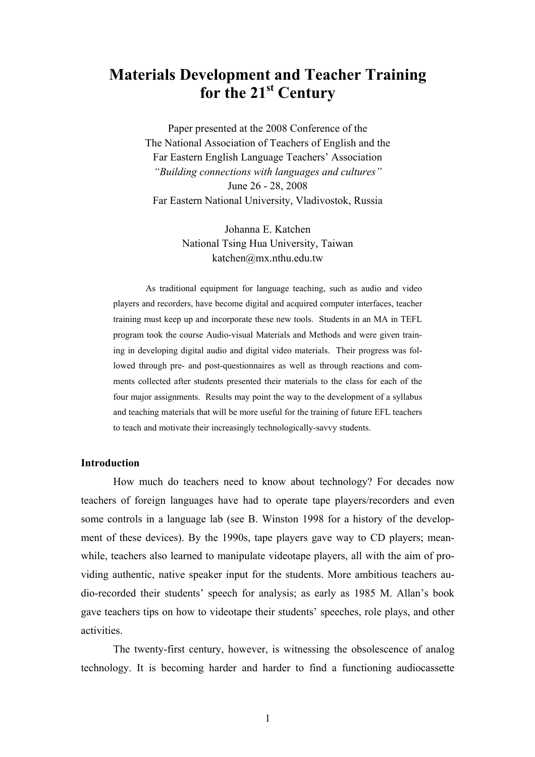# **Materials Development and Teacher Training for the 21st Century**

Paper presented at the 2008 Conference of the The National Association of Teachers of English and the Far Eastern English Language Teachers' Association *"Building connections with languages and cultures"*  June 26 - 28, 2008 Far Eastern National University, Vladivostok, Russia

> Johanna E. Katchen National Tsing Hua University, Taiwan katchen@mx.nthu.edu.tw

As traditional equipment for language teaching, such as audio and video players and recorders, have become digital and acquired computer interfaces, teacher training must keep up and incorporate these new tools. Students in an MA in TEFL program took the course Audio-visual Materials and Methods and were given training in developing digital audio and digital video materials. Their progress was followed through pre- and post-questionnaires as well as through reactions and comments collected after students presented their materials to the class for each of the four major assignments. Results may point the way to the development of a syllabus and teaching materials that will be more useful for the training of future EFL teachers to teach and motivate their increasingly technologically-savvy students.

### **Introduction**

How much do teachers need to know about technology? For decades now teachers of foreign languages have had to operate tape players/recorders and even some controls in a language lab (see B. Winston 1998 for a history of the development of these devices). By the 1990s, tape players gave way to CD players; meanwhile, teachers also learned to manipulate videotape players, all with the aim of providing authentic, native speaker input for the students. More ambitious teachers audio-recorded their students' speech for analysis; as early as 1985 M. Allan's book gave teachers tips on how to videotape their students' speeches, role plays, and other activities.

 The twenty-first century, however, is witnessing the obsolescence of analog technology. It is becoming harder and harder to find a functioning audiocassette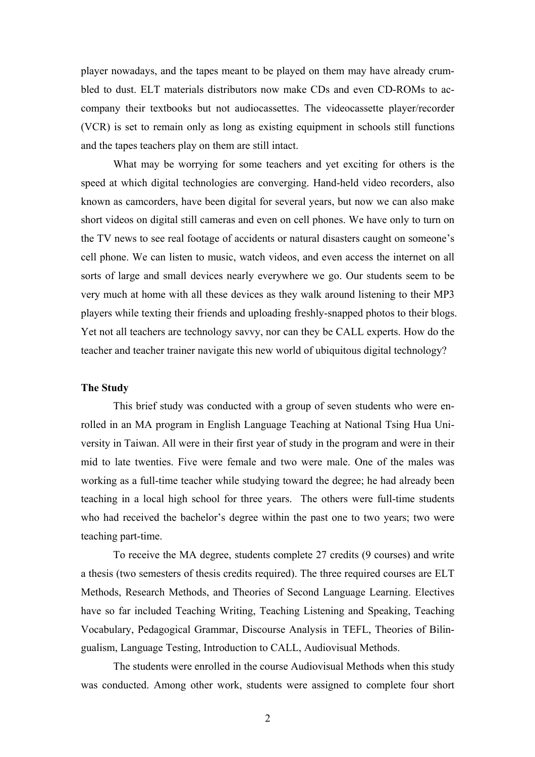player nowadays, and the tapes meant to be played on them may have already crumbled to dust. ELT materials distributors now make CDs and even CD-ROMs to accompany their textbooks but not audiocassettes. The videocassette player/recorder (VCR) is set to remain only as long as existing equipment in schools still functions and the tapes teachers play on them are still intact.

What may be worrying for some teachers and yet exciting for others is the speed at which digital technologies are converging. Hand-held video recorders, also known as camcorders, have been digital for several years, but now we can also make short videos on digital still cameras and even on cell phones. We have only to turn on the TV news to see real footage of accidents or natural disasters caught on someone's cell phone. We can listen to music, watch videos, and even access the internet on all sorts of large and small devices nearly everywhere we go. Our students seem to be very much at home with all these devices as they walk around listening to their MP3 players while texting their friends and uploading freshly-snapped photos to their blogs. Yet not all teachers are technology savvy, nor can they be CALL experts. How do the teacher and teacher trainer navigate this new world of ubiquitous digital technology?

#### **The Study**

 This brief study was conducted with a group of seven students who were enrolled in an MA program in English Language Teaching at National Tsing Hua University in Taiwan. All were in their first year of study in the program and were in their mid to late twenties. Five were female and two were male. One of the males was working as a full-time teacher while studying toward the degree; he had already been teaching in a local high school for three years. The others were full-time students who had received the bachelor's degree within the past one to two years; two were teaching part-time.

To receive the MA degree, students complete 27 credits (9 courses) and write a thesis (two semesters of thesis credits required). The three required courses are ELT Methods, Research Methods, and Theories of Second Language Learning. Electives have so far included Teaching Writing, Teaching Listening and Speaking, Teaching Vocabulary, Pedagogical Grammar, Discourse Analysis in TEFL, Theories of Bilingualism, Language Testing, Introduction to CALL, Audiovisual Methods.

The students were enrolled in the course Audiovisual Methods when this study was conducted. Among other work, students were assigned to complete four short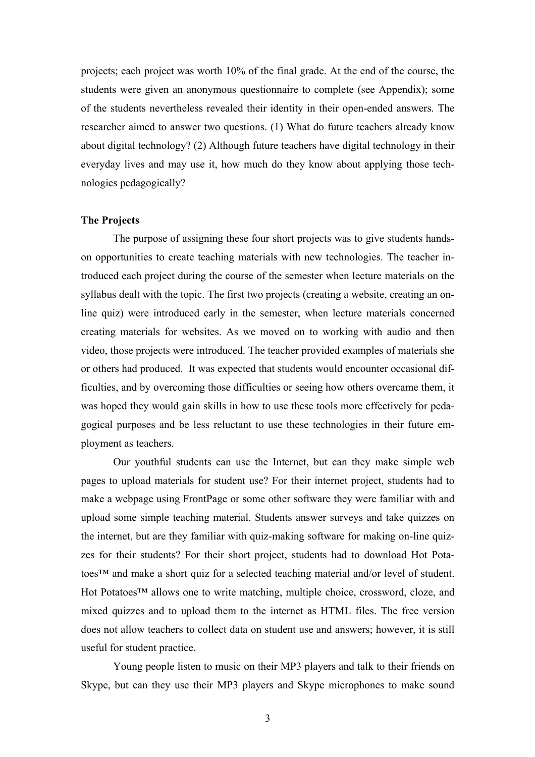projects; each project was worth 10% of the final grade. At the end of the course, the students were given an anonymous questionnaire to complete (see Appendix); some of the students nevertheless revealed their identity in their open-ended answers. The researcher aimed to answer two questions. (1) What do future teachers already know about digital technology? (2) Although future teachers have digital technology in their everyday lives and may use it, how much do they know about applying those technologies pedagogically?

## **The Projects**

The purpose of assigning these four short projects was to give students handson opportunities to create teaching materials with new technologies. The teacher introduced each project during the course of the semester when lecture materials on the syllabus dealt with the topic. The first two projects (creating a website, creating an online quiz) were introduced early in the semester, when lecture materials concerned creating materials for websites. As we moved on to working with audio and then video, those projects were introduced. The teacher provided examples of materials she or others had produced. It was expected that students would encounter occasional difficulties, and by overcoming those difficulties or seeing how others overcame them, it was hoped they would gain skills in how to use these tools more effectively for pedagogical purposes and be less reluctant to use these technologies in their future employment as teachers.

Our youthful students can use the Internet, but can they make simple web pages to upload materials for student use? For their internet project, students had to make a webpage using FrontPage or some other software they were familiar with and upload some simple teaching material. Students answer surveys and take quizzes on the internet, but are they familiar with quiz-making software for making on-line quizzes for their students? For their short project, students had to download Hot Potatoes™ and make a short quiz for a selected teaching material and/or level of student. Hot Potatoes™ allows one to write matching, multiple choice, crossword, cloze, and mixed quizzes and to upload them to the internet as HTML files. The free version does not allow teachers to collect data on student use and answers; however, it is still useful for student practice.

Young people listen to music on their MP3 players and talk to their friends on Skype, but can they use their MP3 players and Skype microphones to make sound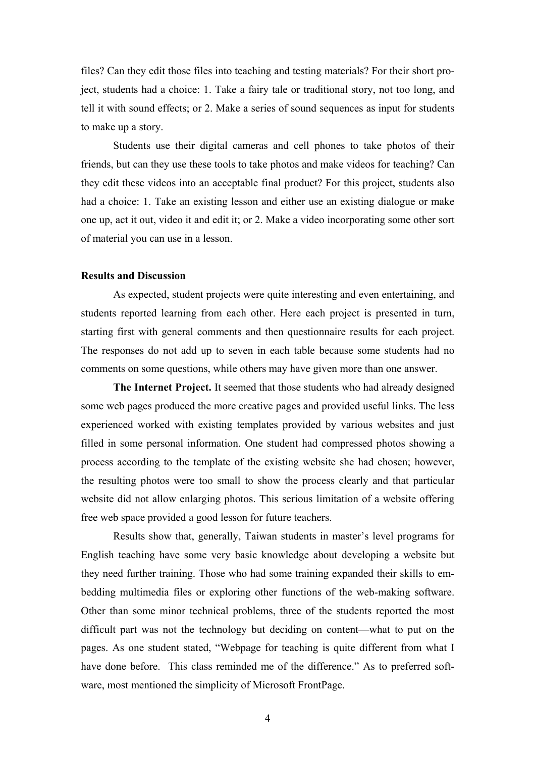files? Can they edit those files into teaching and testing materials? For their short project, students had a choice: 1. Take a fairy tale or traditional story, not too long, and tell it with sound effects; or 2. Make a series of sound sequences as input for students to make up a story.

Students use their digital cameras and cell phones to take photos of their friends, but can they use these tools to take photos and make videos for teaching? Can they edit these videos into an acceptable final product? For this project, students also had a choice: 1. Take an existing lesson and either use an existing dialogue or make one up, act it out, video it and edit it; or 2. Make a video incorporating some other sort of material you can use in a lesson.

#### **Results and Discussion**

 As expected, student projects were quite interesting and even entertaining, and students reported learning from each other. Here each project is presented in turn, starting first with general comments and then questionnaire results for each project. The responses do not add up to seven in each table because some students had no comments on some questions, while others may have given more than one answer.

**The Internet Project.** It seemed that those students who had already designed some web pages produced the more creative pages and provided useful links. The less experienced worked with existing templates provided by various websites and just filled in some personal information. One student had compressed photos showing a process according to the template of the existing website she had chosen; however, the resulting photos were too small to show the process clearly and that particular website did not allow enlarging photos. This serious limitation of a website offering free web space provided a good lesson for future teachers.

 Results show that, generally, Taiwan students in master's level programs for English teaching have some very basic knowledge about developing a website but they need further training. Those who had some training expanded their skills to embedding multimedia files or exploring other functions of the web-making software. Other than some minor technical problems, three of the students reported the most difficult part was not the technology but deciding on content—what to put on the pages. As one student stated, "Webpage for teaching is quite different from what I have done before. This class reminded me of the difference." As to preferred software, most mentioned the simplicity of Microsoft FrontPage.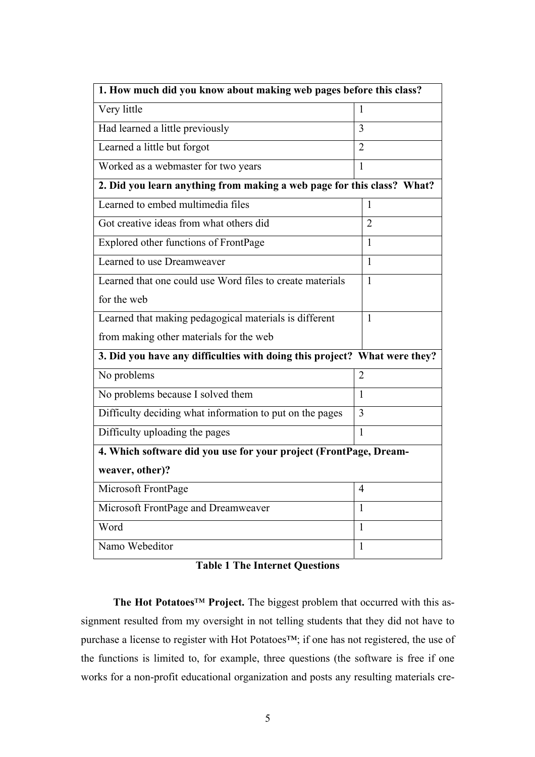| 1. How much did you know about making web pages before this class?        |                |  |
|---------------------------------------------------------------------------|----------------|--|
| Very little                                                               | L              |  |
| Had learned a little previously                                           | 3              |  |
| Learned a little but forgot                                               | $\overline{2}$ |  |
| Worked as a webmaster for two years                                       | 1              |  |
| 2. Did you learn anything from making a web page for this class? What?    |                |  |
| Learned to embed multimedia files                                         | 1              |  |
| Got creative ideas from what others did                                   | $\overline{2}$ |  |
| Explored other functions of FrontPage                                     | 1              |  |
| Learned to use Dreamweaver                                                | 1              |  |
| Learned that one could use Word files to create materials                 | 1              |  |
| for the web                                                               |                |  |
| Learned that making pedagogical materials is different                    | 1              |  |
| from making other materials for the web                                   |                |  |
| 3. Did you have any difficulties with doing this project? What were they? |                |  |
| No problems                                                               | 2              |  |
| No problems because I solved them                                         | $\mathbf{1}$   |  |
| Difficulty deciding what information to put on the pages                  | 3              |  |
| Difficulty uploading the pages                                            | 1              |  |
| 4. Which software did you use for your project (FrontPage, Dream-         |                |  |
| weaver, other)?                                                           |                |  |
| Microsoft FrontPage                                                       | $\overline{4}$ |  |
| Microsoft FrontPage and Dreamweaver                                       | 1              |  |
| Word                                                                      | $\mathbf{1}$   |  |
| Namo Webeditor                                                            | 1              |  |

**Table 1 The Internet Questions** 

**The Hot Potatoes**™ **Project.** The biggest problem that occurred with this assignment resulted from my oversight in not telling students that they did not have to purchase a license to register with Hot Potatoes™; if one has not registered, the use of the functions is limited to, for example, three questions (the software is free if one works for a non-profit educational organization and posts any resulting materials cre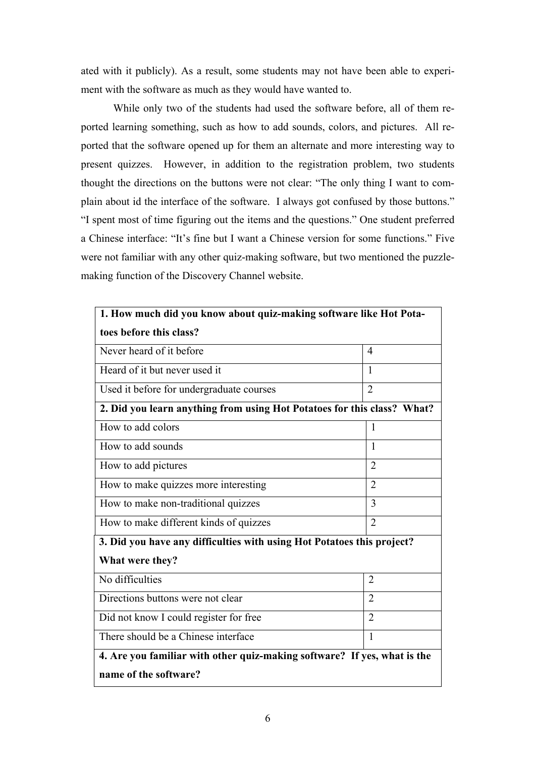ated with it publicly). As a result, some students may not have been able to experiment with the software as much as they would have wanted to.

While only two of the students had used the software before, all of them reported learning something, such as how to add sounds, colors, and pictures. All reported that the software opened up for them an alternate and more interesting way to present quizzes. However, in addition to the registration problem, two students thought the directions on the buttons were not clear: "The only thing I want to complain about id the interface of the software. I always got confused by those buttons." "I spent most of time figuring out the items and the questions." One student preferred a Chinese interface: "It's fine but I want a Chinese version for some functions." Five were not familiar with any other quiz-making software, but two mentioned the puzzlemaking function of the Discovery Channel website.

| 1. How much did you know about quiz-making software like Hot Pota-       |                |  |
|--------------------------------------------------------------------------|----------------|--|
| toes before this class?                                                  |                |  |
| Never heard of it before                                                 | $\overline{4}$ |  |
| Heard of it but never used it                                            | 1              |  |
| Used it before for undergraduate courses                                 | $\overline{2}$ |  |
| 2. Did you learn anything from using Hot Potatoes for this class? What?  |                |  |
| How to add colors                                                        | 1              |  |
| How to add sounds                                                        | $\mathbf{1}$   |  |
| How to add pictures                                                      | $\overline{2}$ |  |
| How to make quizzes more interesting                                     | $\overline{2}$ |  |
| How to make non-traditional quizzes                                      | 3              |  |
| How to make different kinds of quizzes                                   | $\overline{2}$ |  |
| 3. Did you have any difficulties with using Hot Potatoes this project?   |                |  |
| What were they?                                                          |                |  |
| No difficulties                                                          | $\overline{2}$ |  |
| Directions buttons were not clear                                        | $\overline{2}$ |  |
| Did not know I could register for free                                   | $\overline{2}$ |  |
| There should be a Chinese interface                                      | 1              |  |
| 4. Are you familiar with other quiz-making software? If yes, what is the |                |  |
| name of the software?                                                    |                |  |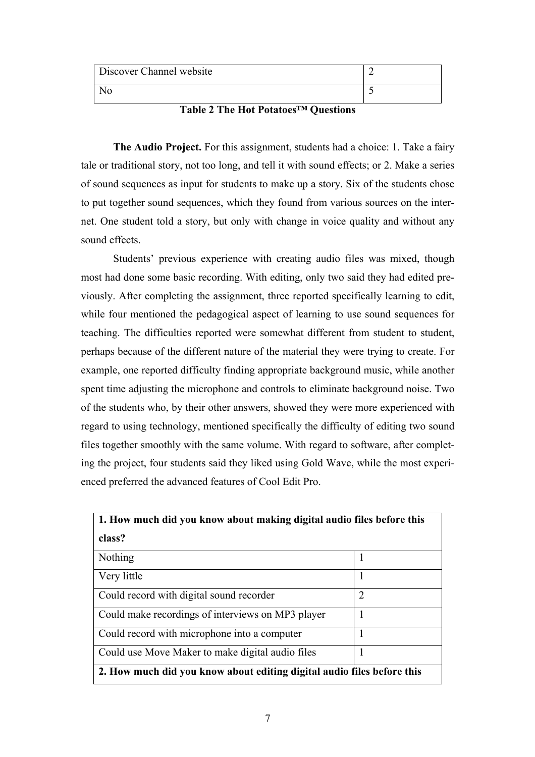| Discover Channel website |                          |
|--------------------------|--------------------------|
|                          | $\overline{\phantom{a}}$ |

# **Table 2 The Hot Potatoes™ Questions**

**The Audio Project.** For this assignment, students had a choice: 1. Take a fairy tale or traditional story, not too long, and tell it with sound effects; or 2. Make a series of sound sequences as input for students to make up a story. Six of the students chose to put together sound sequences, which they found from various sources on the internet. One student told a story, but only with change in voice quality and without any sound effects.

Students' previous experience with creating audio files was mixed, though most had done some basic recording. With editing, only two said they had edited previously. After completing the assignment, three reported specifically learning to edit, while four mentioned the pedagogical aspect of learning to use sound sequences for teaching. The difficulties reported were somewhat different from student to student, perhaps because of the different nature of the material they were trying to create. For example, one reported difficulty finding appropriate background music, while another spent time adjusting the microphone and controls to eliminate background noise. Two of the students who, by their other answers, showed they were more experienced with regard to using technology, mentioned specifically the difficulty of editing two sound files together smoothly with the same volume. With regard to software, after completing the project, four students said they liked using Gold Wave, while the most experienced preferred the advanced features of Cool Edit Pro.

| 1. How much did you know about making digital audio files before this  |                |
|------------------------------------------------------------------------|----------------|
| class?                                                                 |                |
| Nothing                                                                |                |
| Very little                                                            | 1              |
| Could record with digital sound recorder                               | $\overline{2}$ |
| Could make recordings of interviews on MP3 player                      |                |
| Could record with microphone into a computer                           |                |
| Could use Move Maker to make digital audio files                       |                |
| 2. How much did you know about editing digital audio files before this |                |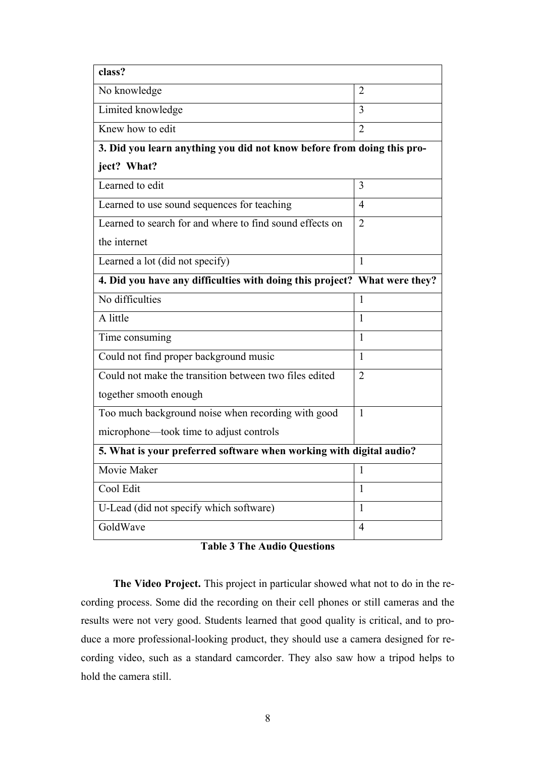| class?                                                                    |                |  |
|---------------------------------------------------------------------------|----------------|--|
| No knowledge                                                              | 2              |  |
| Limited knowledge                                                         | 3              |  |
| Knew how to edit                                                          | $\overline{2}$ |  |
| 3. Did you learn anything you did not know before from doing this pro-    |                |  |
| ject? What?                                                               |                |  |
| Learned to edit                                                           | 3              |  |
| Learned to use sound sequences for teaching                               | 4              |  |
| Learned to search for and where to find sound effects on                  | $\overline{2}$ |  |
| the internet                                                              |                |  |
| Learned a lot (did not specify)                                           | 1              |  |
| 4. Did you have any difficulties with doing this project? What were they? |                |  |
| No difficulties                                                           | 1              |  |
| A little                                                                  | 1              |  |
| Time consuming                                                            | 1              |  |
| Could not find proper background music                                    | 1              |  |
| Could not make the transition between two files edited                    | 2              |  |
| together smooth enough                                                    |                |  |
| Too much background noise when recording with good                        | $\mathbf{1}$   |  |
| microphone—took time to adjust controls                                   |                |  |
| 5. What is your preferred software when working with digital audio?       |                |  |
| Movie Maker                                                               | 1              |  |
| Cool Edit                                                                 | 1              |  |
| U-Lead (did not specify which software)                                   | 1              |  |
| GoldWave                                                                  | $\overline{4}$ |  |

|  |  |  | <b>Table 3 The Audio Questions</b> |
|--|--|--|------------------------------------|
|--|--|--|------------------------------------|

**The Video Project.** This project in particular showed what not to do in the recording process. Some did the recording on their cell phones or still cameras and the results were not very good. Students learned that good quality is critical, and to produce a more professional-looking product, they should use a camera designed for recording video, such as a standard camcorder. They also saw how a tripod helps to hold the camera still.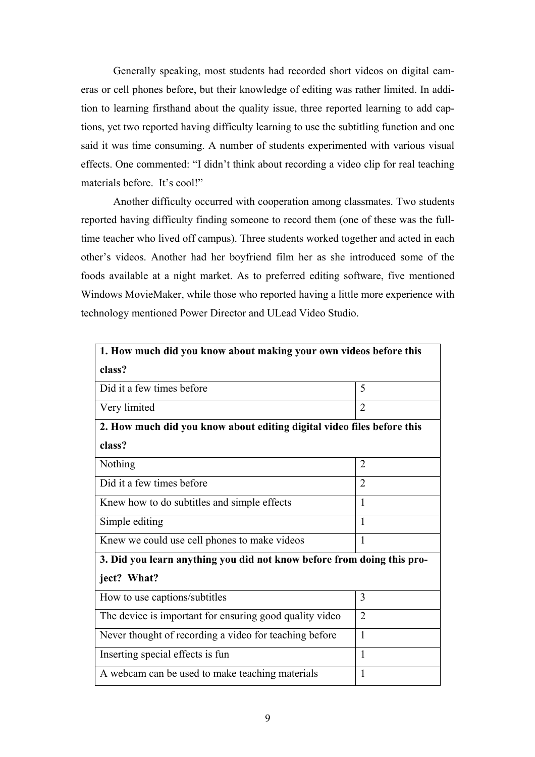Generally speaking, most students had recorded short videos on digital cameras or cell phones before, but their knowledge of editing was rather limited. In addition to learning firsthand about the quality issue, three reported learning to add captions, yet two reported having difficulty learning to use the subtitling function and one said it was time consuming. A number of students experimented with various visual effects. One commented: "I didn't think about recording a video clip for real teaching materials before. It's cool!"

Another difficulty occurred with cooperation among classmates. Two students reported having difficulty finding someone to record them (one of these was the fulltime teacher who lived off campus). Three students worked together and acted in each other's videos. Another had her boyfriend film her as she introduced some of the foods available at a night market. As to preferred editing software, five mentioned Windows MovieMaker, while those who reported having a little more experience with technology mentioned Power Director and ULead Video Studio.

| 1. How much did you know about making your own videos before this      |                |  |
|------------------------------------------------------------------------|----------------|--|
| class?                                                                 |                |  |
| Did it a few times before                                              | 5              |  |
| Very limited                                                           | $\overline{2}$ |  |
| 2. How much did you know about editing digital video files before this |                |  |
| class?                                                                 |                |  |
| Nothing                                                                | $\overline{2}$ |  |
| Did it a few times before                                              | $\overline{2}$ |  |
| Knew how to do subtitles and simple effects                            | $\mathbf{1}$   |  |
| Simple editing                                                         | 1              |  |
| Knew we could use cell phones to make videos                           | 1              |  |
| 3. Did you learn anything you did not know before from doing this pro- |                |  |
| ject? What?                                                            |                |  |
| How to use captions/subtitles                                          | 3              |  |
| The device is important for ensuring good quality video                | $\overline{2}$ |  |
| Never thought of recording a video for teaching before                 | 1              |  |
| Inserting special effects is fun                                       | 1              |  |
| A webcam can be used to make teaching materials                        | 1              |  |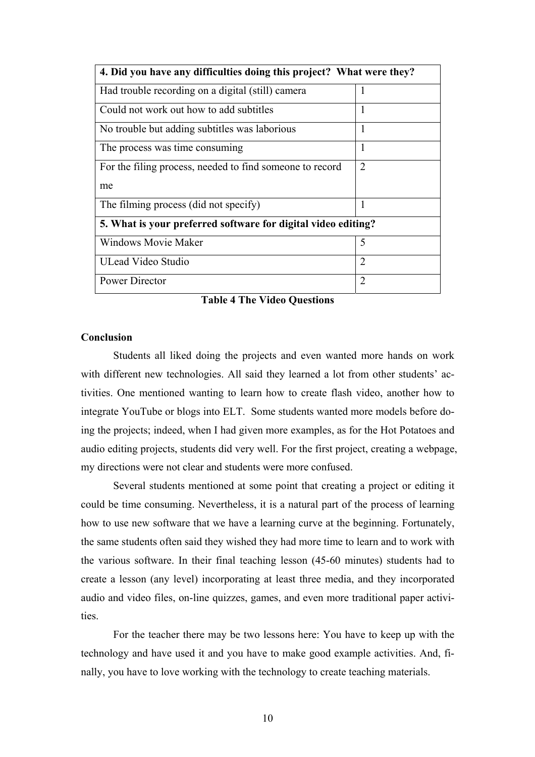| 4. Did you have any difficulties doing this project? What were they? |                             |  |
|----------------------------------------------------------------------|-----------------------------|--|
| Had trouble recording on a digital (still) camera                    | 1                           |  |
| Could not work out how to add subtitles                              | 1                           |  |
| No trouble but adding subtitles was laborious                        | 1                           |  |
| The process was time consuming                                       | 1                           |  |
| For the filing process, needed to find someone to record             | $\mathcal{D}_{\mathcal{L}}$ |  |
| me                                                                   |                             |  |
| The filming process (did not specify)                                | 1                           |  |
| 5. What is your preferred software for digital video editing?        |                             |  |
| <b>Windows Movie Maker</b>                                           | 5                           |  |
| ULead Video Studio                                                   | $\overline{2}$              |  |
| Power Director                                                       | $\overline{2}$              |  |

**Table 4 The Video Questions** 

### **Conclusion**

Students all liked doing the projects and even wanted more hands on work with different new technologies. All said they learned a lot from other students' activities. One mentioned wanting to learn how to create flash video, another how to integrate YouTube or blogs into ELT. Some students wanted more models before doing the projects; indeed, when I had given more examples, as for the Hot Potatoes and audio editing projects, students did very well. For the first project, creating a webpage, my directions were not clear and students were more confused.

Several students mentioned at some point that creating a project or editing it could be time consuming. Nevertheless, it is a natural part of the process of learning how to use new software that we have a learning curve at the beginning. Fortunately, the same students often said they wished they had more time to learn and to work with the various software. In their final teaching lesson (45-60 minutes) students had to create a lesson (any level) incorporating at least three media, and they incorporated audio and video files, on-line quizzes, games, and even more traditional paper activities.

For the teacher there may be two lessons here: You have to keep up with the technology and have used it and you have to make good example activities. And, finally, you have to love working with the technology to create teaching materials.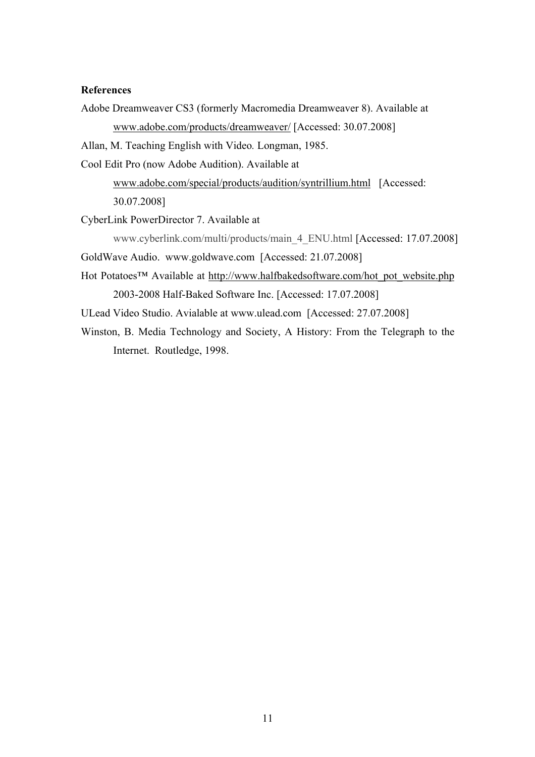## **References**

Adobe Dreamweaver CS3 (formerly Macromedia Dreamweaver 8). Available at www.adobe.com/products/dreamweaver/ [Accessed: 30.07.2008]

Allan, M. Teaching English with Video*.* Longman, 1985.

Cool Edit Pro (now Adobe Audition). Available at

www.adobe.com/special/products/audition/syntrillium.html [Accessed: 30.07.2008]

CyberLink PowerDirector 7. Available at

www.cyberlink.com/multi/products/main\_4\_ENU.html [Accessed: 17.07.2008] GoldWave Audio. www.goldwave.com [Accessed: 21.07.2008]

Hot Potatoes™ Available at http://www.halfbakedsoftware.com/hot\_pot\_website.php 2003-2008 Half-Baked Software Inc. [Accessed: 17.07.2008]

ULead Video Studio. Avialable at www.ulead.com [Accessed: 27.07.2008]

Winston, B. Media Technology and Society, A History: From the Telegraph to the Internet. Routledge, 1998.